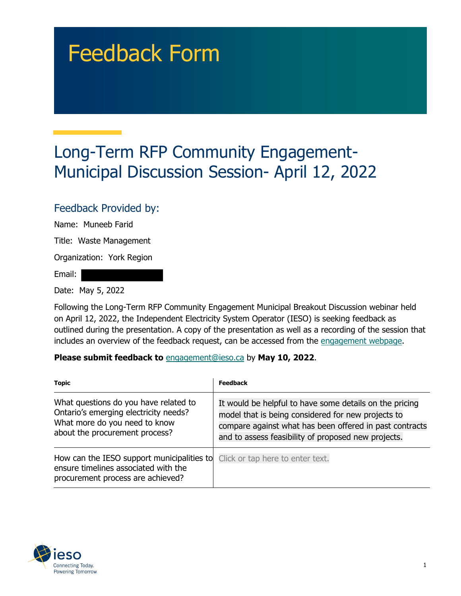# Feedback Form

## Long-Term RFP Community Engagement-Municipal Discussion Session- April 12, 2022

#### Feedback Provided by:

Name: Muneeb Farid

Title: Waste Management

Organization: York Region

Email:

Date: May 5, 2022

Following the Long-Term RFP Community Engagement Municipal Breakout Discussion webinar held on April 12, 2022, the Independent Electricity System Operator (IESO) is seeking feedback as outlined during the presentation. A copy of the presentation as well as a recording of the session that includes an overview of the feedback request, can be accessed from the [engagement webpage.](https://www.ieso.ca/en/Sector-Participants/Engagement-Initiatives/Engagements/Long-Term-RFP-Community-Engagement)

#### **Please submit feedback to** engagement@ieso.ca by **May 10, 2022**.

| <b>Topic</b>                                                                                                                                      | Feedback                                                                                                                                                                                                                        |
|---------------------------------------------------------------------------------------------------------------------------------------------------|---------------------------------------------------------------------------------------------------------------------------------------------------------------------------------------------------------------------------------|
| What questions do you have related to<br>Ontario's emerging electricity needs?<br>What more do you need to know<br>about the procurement process? | It would be helpful to have some details on the pricing<br>model that is being considered for new projects to<br>compare against what has been offered in past contracts<br>and to assess feasibility of proposed new projects. |
| How can the IESO support municipalities to<br>ensure timelines associated with the<br>procurement process are achieved?                           | Click or tap here to enter text.                                                                                                                                                                                                |